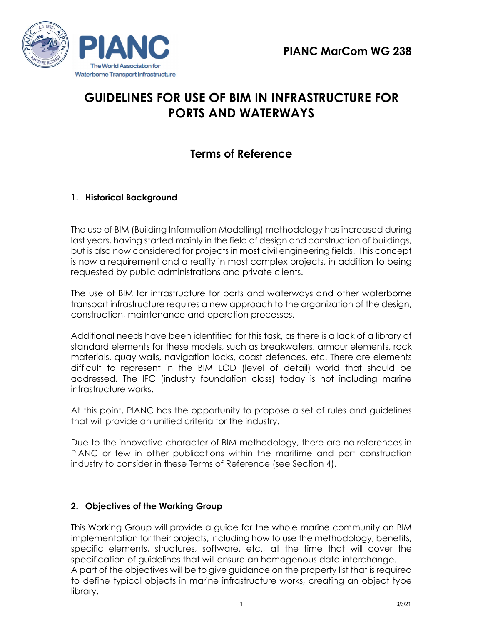



# **GUIDELINES FOR USE OF BIM IN INFRASTRUCTURE FOR PORTS AND WATERWAYS**

# **Terms of Reference**

# **1. Historical Background**

The use of BIM (Building Information Modelling) methodology has increased during last years, having started mainly in the field of design and construction of buildings, but is also now considered for projects in most civil engineering fields. This concept is now a requirement and a reality in most complex projects, in addition to being requested by public administrations and private clients.

The use of BIM for infrastructure for ports and waterways and other waterborne transport infrastructure requires a new approach to the organization of the design, construction, maintenance and operation processes.

Additional needs have been identified for this task, as there is a lack of a library of standard elements for these models, such as breakwaters, armour elements, rock materials, quay walls, navigation locks, coast defences, etc. There are elements difficult to represent in the BIM LOD (level of detail) world that should be addressed. The IFC (industry foundation class) today is not including marine infrastructure works.

At this point, PIANC has the opportunity to propose a set of rules and guidelines that will provide an unified criteria for the industry.

Due to the innovative character of BIM methodology, there are no references in PIANC or few in other publications within the maritime and port construction industry to consider in these Terms of Reference (see Section 4).

### **2. Objectives of the Working Group**

This Working Group will provide a guide for the whole marine community on BIM implementation for their projects, including how to use the methodology, benefits, specific elements, structures, software, etc., at the time that will cover the specification of guidelines that will ensure an homogenous data interchange. A part of the objectives will be to give guidance on the property list that is required to define typical objects in marine infrastructure works, creating an object type library.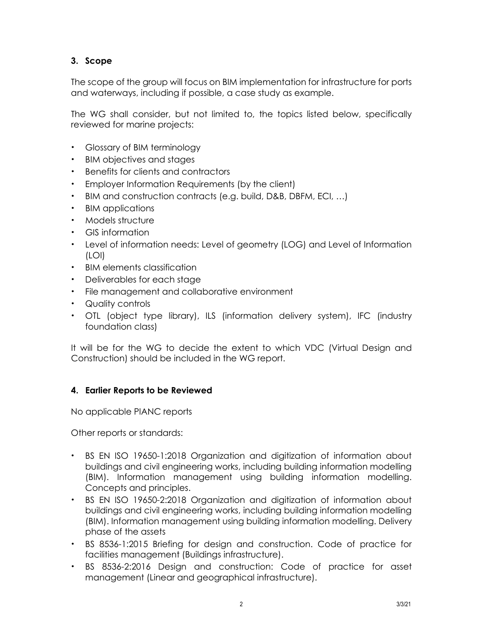# **3. Scope**

The scope of the group will focus on BIM implementation for infrastructure for ports and waterways, including if possible, a case study as example.

The WG shall consider, but not limited to, the topics listed below, specifically reviewed for marine projects:

- Glossary of BIM terminology
- BIM objectives and stages
- Benefits for clients and contractors
- Employer Information Requirements (by the client)
- BIM and construction contracts (e.g. build, D&B, DBFM, ECI, …)
- BIM applications
- Models structure
- GIS information
- Level of information needs: Level of geometry (LOG) and Level of Information (LOI)
- BIM elements classification
- Deliverables for each stage
- File management and collaborative environment
- Quality controls
- OTL (object type library), ILS (information delivery system), IFC (industry foundation class)

It will be for the WG to decide the extent to which VDC (Virtual Design and Construction) should be included in the WG report.

#### **4. Earlier Reports to be Reviewed**

No applicable PIANC reports

Other reports or standards:

- BS EN ISO 19650-1:2018 Organization and digitization of information about buildings and civil engineering works, including building information modelling (BIM). Information management using building information modelling. Concepts and principles.
- BS EN ISO 19650-2:2018 Organization and digitization of information about buildings and civil engineering works, including building information modelling (BIM). Information management using building information modelling. Delivery phase of the assets
- BS 8536-1:2015 Briefing for design and [construction.](https://www.designingbuildings.co.uk/wiki/BS_8536-1:2015_Briefing_for_design_and_construction._Code_of_practice_for_facilities_management_(Buildings_infrastructure)) Code of practice for facilities management (Buildings [infrastructure\).](https://www.designingbuildings.co.uk/wiki/BS_8536-1:2015_Briefing_for_design_and_construction._Code_of_practice_for_facilities_management_(Buildings_infrastructure))
- BS 8536-2:2016 Design and [construction:](https://www.designingbuildings.co.uk/wiki/BS_8536-2:2016_Design_and_construction:_Code_of_practice_for_asset_management_(Linear_and_geographical_infrastructure) Code of practice for asset [management](https://www.designingbuildings.co.uk/wiki/BS_8536-2:2016_Design_and_construction:_Code_of_practice_for_asset_management_(Linear_and_geographical_infrastructure) (Linear and geographical infrastructure).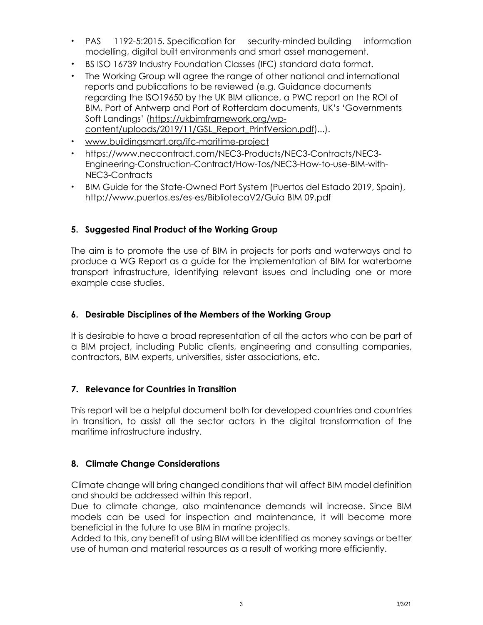- PAS [1192-5:2015.](https://www.designingbuildings.co.uk/wiki/PAS_1192-5:2015) [Specification](https://www.designingbuildings.co.uk/wiki/Specifications) for security-minded building [information](https://www.designingbuildings.co.uk/wiki/Building_Information_Modelling) [modelling,](https://www.designingbuildings.co.uk/wiki/Building_Information_Modelling) [digital](https://www.designingbuildings.co.uk/wiki/Digital) built [environments](https://www.designingbuildings.co.uk/wiki/Built_environment) and [smart](https://www.designingbuildings.co.uk/wiki/Smart) asset [management.](https://www.designingbuildings.co.uk/wiki/Asset_management)
- BS ISO 16739 Industry Foundation Classes (IFC) [standard](https://www.designingbuildings.co.uk/wiki/Standards) [data](https://www.designingbuildings.co.uk/wiki/Datum) format.
- The Working Group will agree the range of other national and international reports and publications to be reviewed (e.g. Guidance documents regarding the ISO19650 by the UK BIM alliance, a PWC report on the ROI of BIM, Port of Antwerp and Port of Rotterdam documents, UK's 'Governments Soft Landings' [\(https://ukbimframework.org/wp](https://ukbimframework.org/wp-content/uploads/2019/11/GSL_Report_PrintVersion.pdf)[content/uploads/2019/11/GSL\\_Report\\_PrintVersion.pdf\)](https://ukbimframework.org/wp-content/uploads/2019/11/GSL_Report_PrintVersion.pdf)...).
- [www.buildingsmart.org/ifc-maritime-project](http://www.buildingsmart.org/ifc-maritime-project)
- [https://www.neccontract.com/NEC3-Products/NEC3-Contracts/NEC3-](https://www.neccontract.com/NEC3-Products/NEC3-Contracts/NEC3-Engineering-Construction-Contract/How-Tos/NEC3-How-to-use-BIM-with-NEC3-Contracts) [Engineering-Construction-Contract/How-Tos/NEC3-How-to-use-BIM-with-](https://www.neccontract.com/NEC3-Products/NEC3-Contracts/NEC3-Engineering-Construction-Contract/How-Tos/NEC3-How-to-use-BIM-with-NEC3-Contracts)[NEC3-Contracts](https://www.neccontract.com/NEC3-Products/NEC3-Contracts/NEC3-Engineering-Construction-Contract/How-Tos/NEC3-How-to-use-BIM-with-NEC3-Contracts)
- BIM Guide for the State-Owned Port System (Puertos del Estado 2019, Spain), [http://www.puertos.es/es-es/BibliotecaV2/Guia](http://www.puertos.es/es-es/BibliotecaV2/Guia%20BIM%2009.pdf) BIM 09.pdf

#### **5. Suggested Final Product of the Working Group**

The aim is to promote the use of BIM in projects for ports and waterways and to produce a WG Report as a guide for the implementation of BIM for waterborne transport infrastructure, identifying relevant issues and including one or more example case studies.

#### **6. Desirable Disciplines of the Members of the Working Group**

It is desirable to have a broad representation of all the actors who can be part of a BIM project, including Public clients, engineering and consulting companies, contractors, BIM experts, universities, sister associations, etc.

#### **7. Relevance for Countries in Transition**

This report will be a helpful document both for developed countries and countries in transition, to assist all the sector actors in the digital transformation of the maritime infrastructure industry.

#### **8. Climate Change Considerations**

Climate change will bring changed conditions that will affect BIM model definition and should be addressed within this report.

Due to climate change, also maintenance demands will increase. Since BIM models can be used for inspection and maintenance, it will become more beneficial in the future to use BIM in marine projects.

Added to this, any benefit of using BIM will be identified as money savings or better use of human and material resources as a result of working more efficiently.